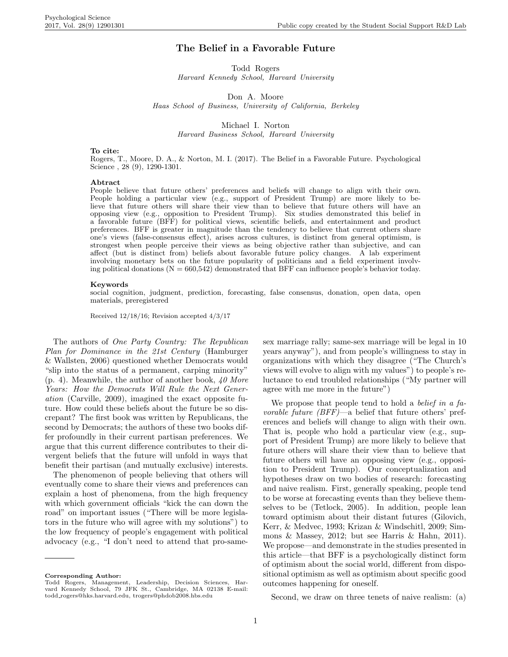# The Belief in a Favorable Future

Todd Rogers Harvard Kennedy School, Harvard University

Don A. Moore

Haas School of Business, University of California, Berkeley

Michael I. Norton Harvard Business School, Harvard University

#### To cite:

Rogers, T., Moore, D. A., & Norton, M. I. (2017). The Belief in a Favorable Future. Psychological Science , 28 (9), 1290-1301.

#### Abtract

People believe that future others' preferences and beliefs will change to align with their own. People holding a particular view (e.g., support of President Trump) are more likely to believe that future others will share their view than to believe that future others will have an opposing view (e.g., opposition to President Trump). Six studies demonstrated this belief in a favorable future (BFF) for political views, scientific beliefs, and entertainment and product preferences. BFF is greater in magnitude than the tendency to believe that current others share one's views (false-consensus effect), arises across cultures, is distinct from general optimism, is strongest when people perceive their views as being objective rather than subjective, and can affect (but is distinct from) beliefs about favorable future policy changes. A lab experiment involving monetary bets on the future popularity of politicians and a field experiment involving political donations  $(N = 660,542)$  demonstrated that BFF can influence people's behavior today.

#### Keywords

social cognition, judgment, prediction, forecasting, false consensus, donation, open data, open materials, preregistered

Received 12/18/16; Revision accepted 4/3/17

The authors of One Party Country: The Republican Plan for Dominance in the 21st Century (Hamburger & Wallsten, 2006) questioned whether Democrats would "slip into the status of a permanent, carping minority"  $(p. 4)$ . Meanwhile, the author of another book, 40 More Years: How the Democrats Will Rule the Next Generation (Carville, 2009), imagined the exact opposite future. How could these beliefs about the future be so discrepant? The first book was written by Republicans, the second by Democrats; the authors of these two books differ profoundly in their current partisan preferences. We argue that this current difference contributes to their divergent beliefs that the future will unfold in ways that benefit their partisan (and mutually exclusive) interests.

The phenomenon of people believing that others will eventually come to share their views and preferences can explain a host of phenomena, from the high frequency with which government officials "kick the can down the road" on important issues ("There will be more legislators in the future who will agree with my solutions") to the low frequency of people's engagement with political advocacy (e.g., "I don't need to attend that pro-same-

Corresponding Author:

sex marriage rally; same-sex marriage will be legal in 10 years anyway"), and from people's willingness to stay in organizations with which they disagree ("The Church's views will evolve to align with my values") to people's reluctance to end troubled relationships ("My partner will agree with me more in the future")

We propose that people tend to hold a *belief in a fa*vorable future (BFF)—a belief that future others' preferences and beliefs will change to align with their own. That is, people who hold a particular view (e.g., support of President Trump) are more likely to believe that future others will share their view than to believe that future others will have an opposing view (e.g., opposition to President Trump). Our conceptualization and hypotheses draw on two bodies of research: forecasting and naive realism. First, generally speaking, people tend to be worse at forecasting events than they believe themselves to be (Tetlock, 2005). In addition, people lean toward optimism about their distant futures (Gilovich, Kerr, & Medvec, 1993; Krizan & Windschitl, 2009; Simmons  $\&$  Massey, 2012; but see Harris  $\&$  Hahn, 2011). We propose—and demonstrate in the studies presented in this article—that BFF is a psychologically distinct form of optimism about the social world, different from dispositional optimism as well as optimism about specific good outcomes happening for oneself.

Second, we draw on three tenets of naive realism: (a)

Todd Rogers, Management, Leadership, Decision Sciences, Har-vard Kennedy School, 79 JFK St., Cambridge, MA 02138 E-mail: todd rogers@hks.harvard.edu, trogers@phdob2008.hbs.edu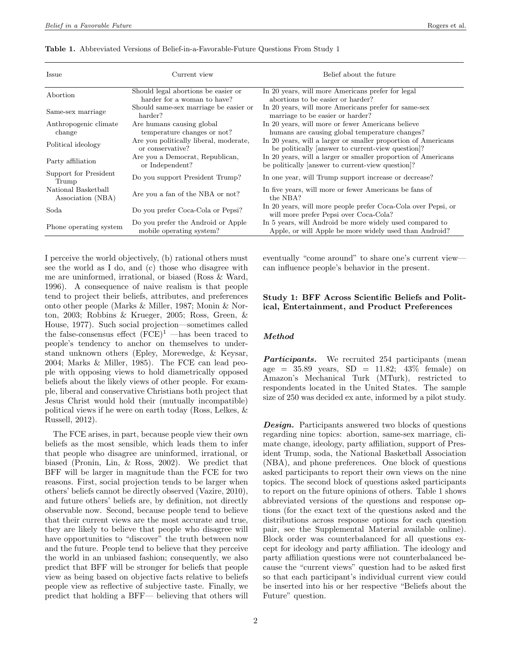| Issue                                    | Current view                                                       | Belief about the future                                                                                            |
|------------------------------------------|--------------------------------------------------------------------|--------------------------------------------------------------------------------------------------------------------|
| Abortion                                 | Should legal abortions be easier or<br>harder for a woman to have? | In 20 years, will more Americans prefer for legal<br>abortions to be easier or harder?                             |
| Same-sex marriage                        | Should same-sex marriage be easier or<br>harder?                   | In 20 years, will more Americans prefer for same-sex<br>marriage to be easier or harder?                           |
| Anthropogenic climate<br>change          | Are humans causing global<br>temperature changes or not?           | In 20 years, will more or fewer Americans believe<br>humans are causing global temperature changes?                |
| Political ideology                       | Are you politically liberal, moderate,<br>or conservative?         | In 20 years, will a larger or smaller proportion of Americans<br>be politically answer to current-view question.   |
| Party affiliation                        | Are you a Democrat, Republican,<br>or Independent?                 | In 20 years, will a larger or smaller proportion of Americans<br>be politically answer to current-view question.   |
| Support for President<br>Trump           | Do you support President Trump?                                    | In one year, will Trump support increase or decrease?                                                              |
| National Basketball<br>Association (NBA) | Are you a fan of the NBA or not?                                   | In five years, will more or fewer Americans be fans of<br>the NBA?                                                 |
| Soda                                     | Do you prefer Coca-Cola or Pepsi?                                  | In 20 years, will more people prefer Coca-Cola over Pepsi, or<br>will more prefer Pepsi over Coca-Cola?            |
| Phone operating system                   | Do you prefer the Android or Apple<br>mobile operating system?     | In 5 years, will Android be more widely used compared to<br>Apple, or will Apple be more widely used than Android? |

Table 1. Abbreviated Versions of Belief-in-a-Favorable-Future Questions From Study 1

I perceive the world objectively, (b) rational others must see the world as I do, and (c) those who disagree with me are uninformed, irrational, or biased (Ross & Ward, 1996). A consequence of naive realism is that people tend to project their beliefs, attributes, and preferences onto other people (Marks & Miller, 1987; Monin & Norton, 2003; Robbins & Krueger, 2005; Ross, Green, & House, 1977). Such social projection—sometimes called the false-consensus effect  $(FCE)^1$  —has been traced to people's tendency to anchor on themselves to understand unknown others (Epley, Morewedge, & Keysar, 2004; Marks & Miller, 1985). The FCE can lead people with opposing views to hold diametrically opposed beliefs about the likely views of other people. For example, liberal and conservative Christians both project that Jesus Christ would hold their (mutually incompatible) political views if he were on earth today (Ross, Lelkes, & Russell, 2012).

The FCE arises, in part, because people view their own beliefs as the most sensible, which leads them to infer that people who disagree are uninformed, irrational, or biased (Pronin, Lin, & Ross, 2002). We predict that BFF will be larger in magnitude than the FCE for two reasons. First, social projection tends to be larger when others' beliefs cannot be directly observed (Vazire, 2010), and future others' beliefs are, by definition, not directly observable now. Second, because people tend to believe that their current views are the most accurate and true, they are likely to believe that people who disagree will have opportunities to "discover" the truth between now and the future. People tend to believe that they perceive the world in an unbiased fashion; consequently, we also predict that BFF will be stronger for beliefs that people view as being based on objective facts relative to beliefs people view as reflective of subjective taste. Finally, we predict that holding a BFF— believing that others will

eventually "come around" to share one's current view can influence people's behavior in the present.

# Study 1: BFF Across Scientific Beliefs and Political, Entertainment, and Product Preferences

## Method

Participants. We recruited 254 participants (mean age =  $35.89$  years,  $SD = 11.82$ ;  $43\%$  female) on Amazon's Mechanical Turk (MTurk), restricted to respondents located in the United States. The sample size of 250 was decided ex ante, informed by a pilot study.

**Design.** Participants answered two blocks of questions regarding nine topics: abortion, same-sex marriage, climate change, ideology, party affiliation, support of President Trump, soda, the National Basketball Association (NBA), and phone preferences. One block of questions asked participants to report their own views on the nine topics. The second block of questions asked participants to report on the future opinions of others. Table 1 shows abbreviated versions of the questions and response options (for the exact text of the questions asked and the distributions across response options for each question pair, see the Supplemental Material available online). Block order was counterbalanced for all questions except for ideology and party affiliation. The ideology and party affiliation questions were not counterbalanced because the "current views" question had to be asked first so that each participant's individual current view could be inserted into his or her respective "Beliefs about the Future" question.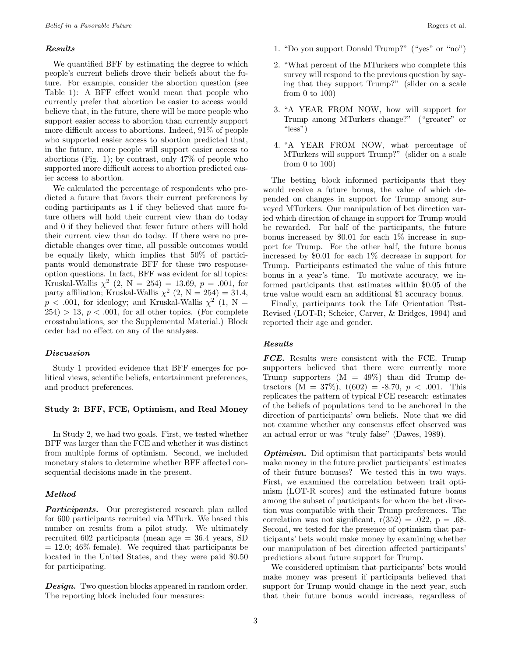### Results

We quantified BFF by estimating the degree to which people's current beliefs drove their beliefs about the future. For example, consider the abortion question (see Table 1): A BFF effect would mean that people who currently prefer that abortion be easier to access would believe that, in the future, there will be more people who support easier access to abortion than currently support more difficult access to abortions. Indeed, 91% of people who supported easier access to abortion predicted that, in the future, more people will support easier access to abortions (Fig. 1); by contrast, only 47% of people who supported more difficult access to abortion predicted easier access to abortion.

We calculated the percentage of respondents who predicted a future that favors their current preferences by coding participants as 1 if they believed that more future others will hold their current view than do today and 0 if they believed that fewer future others will hold their current view than do today. If there were no predictable changes over time, all possible outcomes would be equally likely, which implies that 50% of participants would demonstrate BFF for these two responseoption questions. In fact, BFF was evident for all topics: Kruskal-Wallis  $\chi^2$  (2, N = 254) = 13.69, p = .001, for party affiliation; Kruskal-Wallis  $\chi^2$  (2, N = 254) = 31.4,  $p < .001$ , for ideology; and Kruskal-Wallis  $\chi^2$  (1, N =  $254$ ) > 13,  $p < .001$ , for all other topics. (For complete crosstabulations, see the Supplemental Material.) Block order had no effect on any of the analyses.

### Discussion

Study 1 provided evidence that BFF emerges for political views, scientific beliefs, entertainment preferences, and product preferences.

### Study 2: BFF, FCE, Optimism, and Real Money

In Study 2, we had two goals. First, we tested whether BFF was larger than the FCE and whether it was distinct from multiple forms of optimism. Second, we included monetary stakes to determine whether BFF affected consequential decisions made in the present.

#### Method

**Participants.** Our preregistered research plan called for 600 participants recruited via MTurk. We based this number on results from a pilot study. We ultimately recruited 602 participants (mean age = 36.4 years, SD  $= 12.0$ ; 46% female). We required that participants be located in the United States, and they were paid \$0.50 for participating.

**Design.** Two question blocks appeared in random order. The reporting block included four measures:

- 1. "Do you support Donald Trump?" ("yes" or "no")
- 2. "What percent of the MTurkers who complete this survey will respond to the previous question by saying that they support Trump?" (slider on a scale from 0 to 100)
- 3. "A YEAR FROM NOW, how will support for Trump among MTurkers change?" ("greater" or "less")
- 4. "A YEAR FROM NOW, what percentage of MTurkers will support Trump?" (slider on a scale from 0 to 100)

The betting block informed participants that they would receive a future bonus, the value of which depended on changes in support for Trump among surveyed MTurkers. Our manipulation of bet direction varied which direction of change in support for Trump would be rewarded. For half of the participants, the future bonus increased by \$0.01 for each 1% increase in support for Trump. For the other half, the future bonus increased by \$0.01 for each 1% decrease in support for Trump. Participants estimated the value of this future bonus in a year's time. To motivate accuracy, we informed participants that estimates within \$0.05 of the true value would earn an additional \$1 accuracy bonus.

Finally, participants took the Life Orientation Test-Revised (LOT-R; Scheier, Carver, & Bridges, 1994) and reported their age and gender.

#### Results

FCE. Results were consistent with the FCE. Trump supporters believed that there were currently more Trump supporters  $(M = 49\%)$  than did Trump detractors  $(M = 37\%)$ ,  $t(602) = -8.70$ ,  $p < .001$ . This replicates the pattern of typical FCE research: estimates of the beliefs of populations tend to be anchored in the direction of participants' own beliefs. Note that we did not examine whether any consensus effect observed was an actual error or was "truly false" (Dawes, 1989).

**Optimism.** Did optimism that participants' bets would make money in the future predict participants' estimates of their future bonuses? We tested this in two ways. First, we examined the correlation between trait optimism (LOT-R scores) and the estimated future bonus among the subset of participants for whom the bet direction was compatible with their Trump preferences. The correlation was not significant,  $r(352) = .022$ ,  $p = .68$ . Second, we tested for the presence of optimism that participants' bets would make money by examining whether our manipulation of bet direction affected participants' predictions about future support for Trump.

We considered optimism that participants' bets would make money was present if participants believed that support for Trump would change in the next year, such that their future bonus would increase, regardless of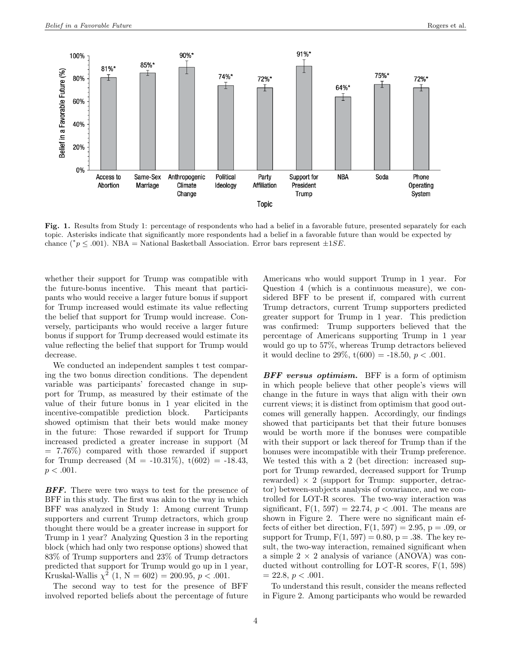

Fig. 1. Results from Study 1: percentage of respondents who had a belief in a favorable future, presented separately for each topic. Asterisks indicate that significantly more respondents had a belief in a favorable future than would be expected by chance (\* $p \leq .001$ ). NBA = National Basketball Association. Error bars represent  $\pm 1SE$ .

whether their support for Trump was compatible with the future-bonus incentive. This meant that participants who would receive a larger future bonus if support for Trump increased would estimate its value reflecting the belief that support for Trump would increase. Conversely, participants who would receive a larger future bonus if support for Trump decreased would estimate its value reflecting the belief that support for Trump would decrease.

We conducted an independent samples t test comparing the two bonus direction conditions. The dependent variable was participants' forecasted change in support for Trump, as measured by their estimate of the value of their future bonus in 1 year elicited in the incentive-compatible prediction block. Participants showed optimism that their bets would make money in the future: Those rewarded if support for Trump increased predicted a greater increase in support (M  $= 7.76\%$  compared with those rewarded if support for Trump decreased  $(M = -10.31\%), t(602) = -18.43,$  $p < .001$ .

**BFF.** There were two ways to test for the presence of BFF in this study. The first was akin to the way in which BFF was analyzed in Study 1: Among current Trump supporters and current Trump detractors, which group thought there would be a greater increase in support for Trump in 1 year? Analyzing Question 3 in the reporting block (which had only two response options) showed that 83% of Trump supporters and 23% of Trump detractors predicted that support for Trump would go up in 1 year, Kruskal-Wallis  $\chi^2$  (1, N = 602) = 200.95, p < .001.

The second way to test for the presence of BFF involved reported beliefs about the percentage of future

Americans who would support Trump in 1 year. For Question 4 (which is a continuous measure), we considered BFF to be present if, compared with current Trump detractors, current Trump supporters predicted greater support for Trump in 1 year. This prediction was confirmed: Trump supporters believed that the percentage of Americans supporting Trump in 1 year would go up to 57%, whereas Trump detractors believed it would decline to 29%,  $t(600) = -18.50, p < .001$ .

**BFF** versus optimism. BFF is a form of optimism in which people believe that other people's views will change in the future in ways that align with their own current views; it is distinct from optimism that good outcomes will generally happen. Accordingly, our findings showed that participants bet that their future bonuses would be worth more if the bonuses were compatible with their support or lack thereof for Trump than if the bonuses were incompatible with their Trump preference. We tested this with a 2 (bet direction: increased support for Trump rewarded, decreased support for Trump rewarded)  $\times$  2 (support for Trump: supporter, detractor) between-subjects analysis of covariance, and we controlled for LOT-R scores. The two-way interaction was significant,  $F(1, 597) = 22.74, p < .001$ . The means are shown in Figure 2. There were no significant main effects of either bet direction,  $F(1, 597) = 2.95$ ,  $p = .09$ , or support for Trump,  $F(1, 597) = 0.80$ ,  $p = .38$ . The key result, the two-way interaction, remained significant when a simple  $2 \times 2$  analysis of variance (ANOVA) was conducted without controlling for LOT-R scores, F(1, 598)  $= 22.8, p < .001.$ 

To understand this result, consider the means reflected in Figure 2. Among participants who would be rewarded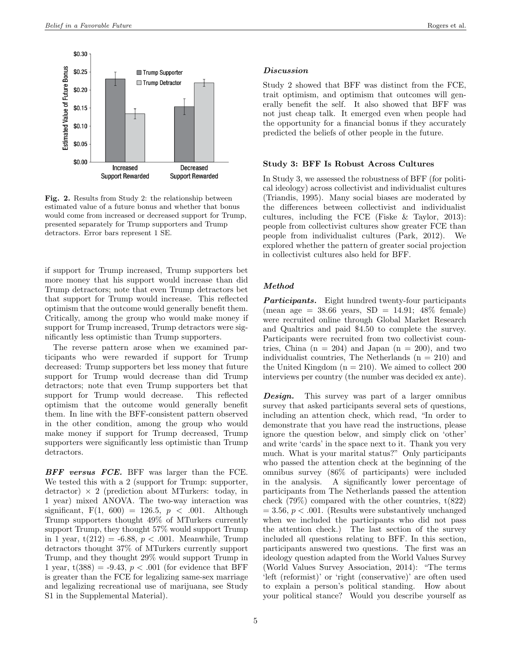

Fig. 2. Results from Study 2: the relationship between estimated value of a future bonus and whether that bonus would come from increased or decreased support for Trump, presented separately for Trump supporters and Trump detractors. Error bars represent 1 SE.

if support for Trump increased, Trump supporters bet more money that his support would increase than did Trump detractors; note that even Trump detractors bet that support for Trump would increase. This reflected optimism that the outcome would generally benefit them. Critically, among the group who would make money if support for Trump increased, Trump detractors were significantly less optimistic than Trump supporters.

The reverse pattern arose when we examined participants who were rewarded if support for Trump decreased: Trump supporters bet less money that future support for Trump would decrease than did Trump detractors; note that even Trump supporters bet that support for Trump would decrease. This reflected optimism that the outcome would generally benefit them. In line with the BFF-consistent pattern observed in the other condition, among the group who would make money if support for Trump decreased, Trump supporters were significantly less optimistic than Trump detractors.

BFF versus FCE. BFF was larger than the FCE. We tested this with a 2 (support for Trump: supporter, detractor)  $\times$  2 (prediction about MTurkers: today, in 1 year) mixed ANOVA. The two-way interaction was significant,  $F(1, 600) = 126.5, p < .001$ . Although Trump supporters thought 49% of MTurkers currently support Trump, they thought 57% would support Trump in 1 year,  $t(212) = -6.88, p < .001$ . Meanwhile, Trump detractors thought 37% of MTurkers currently support Trump, and they thought 29% would support Trump in 1 year,  $t(388) = -9.43$ ,  $p < .001$  (for evidence that BFF is greater than the FCE for legalizing same-sex marriage and legalizing recreational use of marijuana, see Study S1 in the Supplemental Material).

#### Discussion

Study 2 showed that BFF was distinct from the FCE, trait optimism, and optimism that outcomes will generally benefit the self. It also showed that BFF was not just cheap talk. It emerged even when people had the opportunity for a financial bonus if they accurately predicted the beliefs of other people in the future.

### Study 3: BFF Is Robust Across Cultures

In Study 3, we assessed the robustness of BFF (for political ideology) across collectivist and individualist cultures (Triandis, 1995). Many social biases are moderated by the differences between collectivist and individualist cultures, including the FCE (Fiske & Taylor, 2013): people from collectivist cultures show greater FCE than people from individualist cultures (Park, 2012). We explored whether the pattern of greater social projection in collectivist cultures also held for BFF.

### Method

Participants. Eight hundred twenty-four participants (mean age =  $38.66$  years, SD =  $14.91$ ;  $48\%$  female) were recruited online through Global Market Research and Qualtrics and paid \$4.50 to complete the survey. Participants were recruited from two collectivist countries, China  $(n = 204)$  and Japan  $(n = 200)$ , and two individualist countries, The Netherlands  $(n = 210)$  and the United Kingdom  $(n = 210)$ . We aimed to collect 200 interviews per country (the number was decided ex ante).

**Design.** This survey was part of a larger omnibus survey that asked participants several sets of questions, including an attention check, which read, "In order to demonstrate that you have read the instructions, please ignore the question below, and simply click on 'other' and write 'cards' in the space next to it. Thank you very much. What is your marital status?" Only participants who passed the attention check at the beginning of the omnibus survey (86% of participants) were included in the analysis. A significantly lower percentage of participants from The Netherlands passed the attention check  $(79\%)$  compared with the other countries,  $t(822)$  $= 3.56, p < .001.$  (Results were substantively unchanged when we included the participants who did not pass the attention check.) The last section of the survey included all questions relating to BFF. In this section, participants answered two questions. The first was an ideology question adapted from the World Values Survey (World Values Survey Association, 2014): "The terms 'left (reformist)' or 'right (conservative)' are often used to explain a person's political standing. How about your political stance? Would you describe yourself as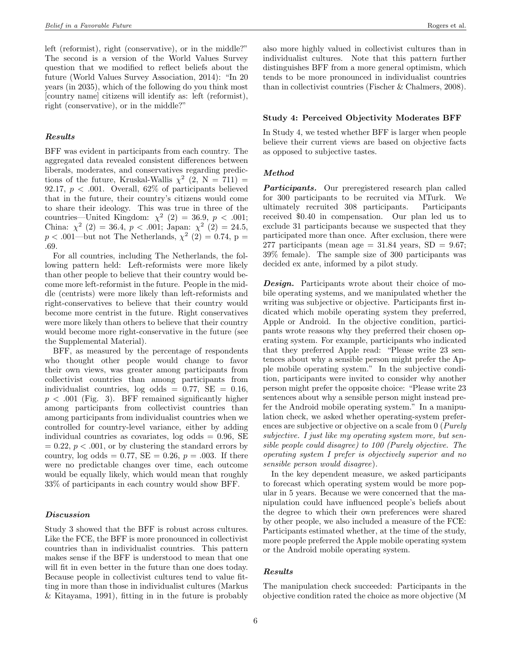left (reformist), right (conservative), or in the middle?" The second is a version of the World Values Survey question that we modified to reflect beliefs about the future (World Values Survey Association, 2014): "In 20 years (in 2035), which of the following do you think most [country name] citizens will identify as: left (reformist), right (conservative), or in the middle?"

### Results

BFF was evident in participants from each country. The aggregated data revealed consistent differences between liberals, moderates, and conservatives regarding predictions of the future, Kruskal-Wallis  $\chi^2$  (2, N = 711) = 92.17,  $p < .001$ . Overall, 62% of participants believed that in the future, their country's citizens would come to share their ideology. This was true in three of the countries—United Kingdom:  $\chi^2$  (2) = 36.9, p < .001; China:  $\chi^2$  (2) = 36.4, p < .001; Japan:  $\chi^2$  (2) = 24.5,  $p < .001$ —but not The Netherlands,  $\chi^2$  (2) = 0.74, p = .69.

For all countries, including The Netherlands, the following pattern held: Left-reformists were more likely than other people to believe that their country would become more left-reformist in the future. People in the middle (centrists) were more likely than left-reformists and right-conservatives to believe that their country would become more centrist in the future. Right conservatives were more likely than others to believe that their country would become more right-conservative in the future (see the Supplemental Material).

BFF, as measured by the percentage of respondents who thought other people would change to favor their own views, was greater among participants from collectivist countries than among participants from individualist countries, log odds =  $0.77$ , SE =  $0.16$ ,  $p < .001$  (Fig. 3). BFF remained significantly higher among participants from collectivist countries than among participants from individualist countries when we controlled for country-level variance, either by adding individual countries as covariates,  $log$  odds = 0.96, SE  $= 0.22, p < .001$ , or by clustering the standard errors by country,  $log \text{ odds} = 0.77$ ,  $SE = 0.26$ ,  $p = .003$ . If there were no predictable changes over time, each outcome would be equally likely, which would mean that roughly 33% of participants in each country would show BFF.

### Discussion

Study 3 showed that the BFF is robust across cultures. Like the FCE, the BFF is more pronounced in collectivist countries than in individualist countries. This pattern makes sense if the BFF is understood to mean that one will fit in even better in the future than one does today. Because people in collectivist cultures tend to value fitting in more than those in individualist cultures (Markus & Kitayama, 1991), fitting in in the future is probably also more highly valued in collectivist cultures than in individualist cultures. Note that this pattern further distinguishes BFF from a more general optimism, which tends to be more pronounced in individualist countries than in collectivist countries (Fischer & Chalmers, 2008).

### Study 4: Perceived Objectivity Moderates BFF

In Study 4, we tested whether BFF is larger when people believe their current views are based on objective facts as opposed to subjective tastes.

#### Method

**Participants.** Our preregistered research plan called for 300 participants to be recruited via MTurk. We ultimately recruited 308 participants. Participants received \$0.40 in compensation. Our plan led us to exclude 31 participants because we suspected that they participated more than once. After exclusion, there were 277 participants (mean age  $= 31.84$  years, SD  $= 9.67$ ; 39% female). The sample size of 300 participants was decided ex ante, informed by a pilot study.

Design. Participants wrote about their choice of mobile operating systems, and we manipulated whether the writing was subjective or objective. Participants first indicated which mobile operating system they preferred, Apple or Android. In the objective condition, participants wrote reasons why they preferred their chosen operating system. For example, participants who indicated that they preferred Apple read: "Please write 23 sentences about why a sensible person might prefer the Apple mobile operating system." In the subjective condition, participants were invited to consider why another person might prefer the opposite choice: "Please write 23 sentences about why a sensible person might instead prefer the Android mobile operating system." In a manipulation check, we asked whether operating-system preferences are subjective or objective on a scale from 0 (Purely subjective. I just like my operating system more, but sensible people could disagree) to 100 (Purely objective. The operating system I prefer is objectively superior and no sensible person would disagree).

In the key dependent measure, we asked participants to forecast which operating system would be more popular in 5 years. Because we were concerned that the manipulation could have influenced people's beliefs about the degree to which their own preferences were shared by other people, we also included a measure of the FCE: Participants estimated whether, at the time of the study, more people preferred the Apple mobile operating system or the Android mobile operating system.

### Results

The manipulation check succeeded: Participants in the objective condition rated the choice as more objective (M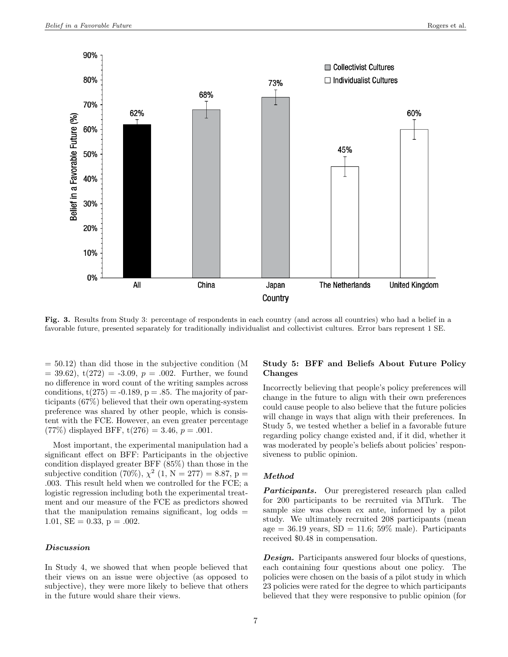

Fig. 3. Results from Study 3: percentage of respondents in each country (and across all countries) who had a belief in a favorable future, presented separately for traditionally individualist and collectivist cultures. Error bars represent 1 SE.

 $= 50.12$ ) than did those in the subjective condition (M  $= 39.62$ ,  $t(272) = -3.09$ ,  $p = .002$ . Further, we found no difference in word count of the writing samples across conditions,  $t(275) = -0.189$ ,  $p = .85$ . The majority of participants (67%) believed that their own operating-system preference was shared by other people, which is consistent with the FCE. However, an even greater percentage  $(77\%)$  displayed BFF,  $t(276) = 3.46$ ,  $p = .001$ .

Most important, the experimental manipulation had a significant effect on BFF: Participants in the objective condition displayed greater BFF (85%) than those in the subjective condition (70%),  $\chi^2$  (1, N = 277) = 8.87, p = .003. This result held when we controlled for the FCE; a logistic regression including both the experimental treatment and our measure of the FCE as predictors showed that the manipulation remains significant,  $log$  odds  $=$ 1.01,  $SE = 0.33$ ,  $p = .002$ .

## Discussion

In Study 4, we showed that when people believed that their views on an issue were objective (as opposed to subjective), they were more likely to believe that others in the future would share their views.

# Study 5: BFF and Beliefs About Future Policy Changes

Incorrectly believing that people's policy preferences will change in the future to align with their own preferences could cause people to also believe that the future policies will change in ways that align with their preferences. In Study 5, we tested whether a belief in a favorable future regarding policy change existed and, if it did, whether it was moderated by people's beliefs about policies' responsiveness to public opinion.

### Method

**Participants.** Our preregistered research plan called for 200 participants to be recruited via MTurk. The sample size was chosen ex ante, informed by a pilot study. We ultimately recruited 208 participants (mean age = 36.19 years,  $SD = 11.6$ ; 59% male). Participants received \$0.48 in compensation.

**Design.** Participants answered four blocks of questions, each containing four questions about one policy. The policies were chosen on the basis of a pilot study in which 23 policies were rated for the degree to which participants believed that they were responsive to public opinion (for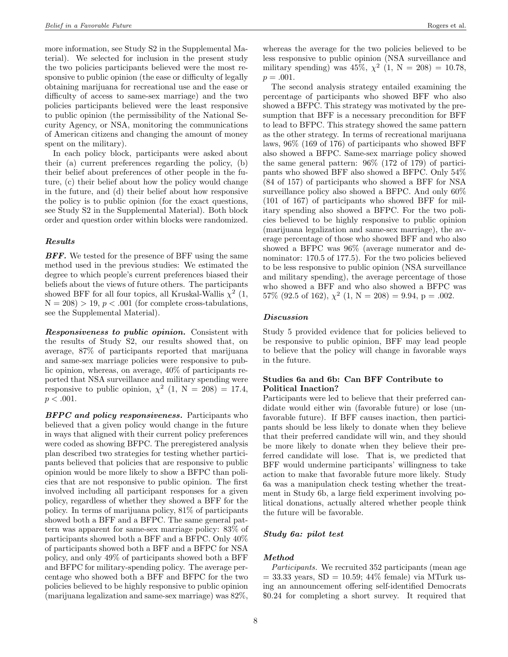more information, see Study S2 in the Supplemental Material). We selected for inclusion in the present study the two policies participants believed were the most responsive to public opinion (the ease or difficulty of legally obtaining marijuana for recreational use and the ease or difficulty of access to same-sex marriage) and the two policies participants believed were the least responsive to public opinion (the permissibility of the National Security Agency, or NSA, monitoring the communications of American citizens and changing the amount of money spent on the military).

In each policy block, participants were asked about their (a) current preferences regarding the policy, (b) their belief about preferences of other people in the future, (c) their belief about how the policy would change in the future, and (d) their belief about how responsive the policy is to public opinion (for the exact questions, see Study S2 in the Supplemental Material). Both block order and question order within blocks were randomized.

### Results

**BFF.** We tested for the presence of BFF using the same method used in the previous studies: We estimated the degree to which people's current preferences biased their beliefs about the views of future others. The participants showed BFF for all four topics, all Kruskal-Wallis  $\chi^2$  (1,  $N = 208$ ) > 19,  $p < .001$  (for complete cross-tabulations, see the Supplemental Material).

Responsiveness to public opinion. Consistent with the results of Study S2, our results showed that, on average, 87% of participants reported that marijuana and same-sex marriage policies were responsive to public opinion, whereas, on average, 40% of participants reported that NSA surveillance and military spending were responsive to public opinion,  $\chi^2$  (1, N = 208) = 17.4,  $p < .001$ .

**BFPC** and policy responsiveness. Participants who believed that a given policy would change in the future in ways that aligned with their current policy preferences were coded as showing BFPC. The preregistered analysis plan described two strategies for testing whether participants believed that policies that are responsive to public opinion would be more likely to show a BFPC than policies that are not responsive to public opinion. The first involved including all participant responses for a given policy, regardless of whether they showed a BFF for the policy. In terms of marijuana policy, 81% of participants showed both a BFF and a BFPC. The same general pattern was apparent for same-sex marriage policy: 83% of participants showed both a BFF and a BFPC. Only 40% of participants showed both a BFF and a BFPC for NSA policy, and only 49% of participants showed both a BFF and BFPC for military-spending policy. The average percentage who showed both a BFF and BFPC for the two policies believed to be highly responsive to public opinion (marijuana legalization and same-sex marriage) was 82%,

whereas the average for the two policies believed to be less responsive to public opinion (NSA surveillance and military spending) was  $45\%, \chi^2$  (1, N = 208) = 10.78,  $p = .001.$ 

The second analysis strategy entailed examining the percentage of participants who showed BFF who also showed a BFPC. This strategy was motivated by the presumption that BFF is a necessary precondition for BFF to lead to BFPC. This strategy showed the same pattern as the other strategy. In terms of recreational marijuana laws, 96% (169 of 176) of participants who showed BFF also showed a BFPC. Same-sex marriage policy showed the same general pattern: 96% (172 of 179) of participants who showed BFF also showed a BFPC. Only 54% (84 of 157) of participants who showed a BFF for NSA surveillance policy also showed a BFPC. And only 60% (101 of 167) of participants who showed BFF for military spending also showed a BFPC. For the two policies believed to be highly responsive to public opinion (marijuana legalization and same-sex marriage), the average percentage of those who showed BFF and who also showed a BFPC was 96% (average numerator and denominator: 170.5 of 177.5). For the two policies believed to be less responsive to public opinion (NSA surveillance and military spending), the average percentage of those who showed a BFF and who also showed a BFPC was 57% (92.5 of 162),  $\chi^2$  (1, N = 208) = 9.94, p = .002.

#### Discussion

Study 5 provided evidence that for policies believed to be responsive to public opinion, BFF may lead people to believe that the policy will change in favorable ways in the future.

# Studies 6a and 6b: Can BFF Contribute to Political Inaction?

Participants were led to believe that their preferred candidate would either win (favorable future) or lose (unfavorable future). If BFF causes inaction, then participants should be less likely to donate when they believe that their preferred candidate will win, and they should be more likely to donate when they believe their preferred candidate will lose. That is, we predicted that BFF would undermine participants' willingness to take action to make that favorable future more likely. Study 6a was a manipulation check testing whether the treatment in Study 6b, a large field experiment involving political donations, actually altered whether people think the future will be favorable.

# Study 6a: pilot test

### Method

Participants. We recruited 352 participants (mean age  $= 33.33$  years,  $SD = 10.59$ ;  $44\%$  female) via MTurk using an announcement offering self-identified Democrats \$0.24 for completing a short survey. It required that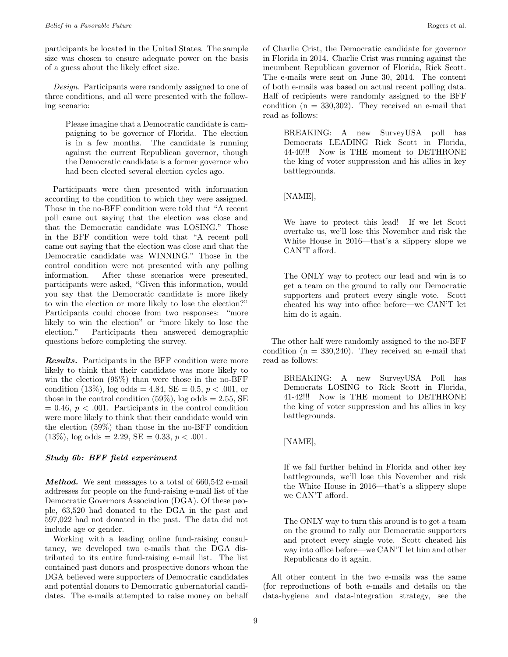participants be located in the United States. The sample size was chosen to ensure adequate power on the basis of a guess about the likely effect size.

Design. Participants were randomly assigned to one of three conditions, and all were presented with the following scenario:

Please imagine that a Democratic candidate is campaigning to be governor of Florida. The election is in a few months. The candidate is running against the current Republican governor, though the Democratic candidate is a former governor who had been elected several election cycles ago.

Participants were then presented with information according to the condition to which they were assigned. Those in the no-BFF condition were told that "A recent poll came out saying that the election was close and that the Democratic candidate was LOSING." Those in the BFF condition were told that "A recent poll came out saying that the election was close and that the Democratic candidate was WINNING." Those in the control condition were not presented with any polling information. After these scenarios were presented, participants were asked, "Given this information, would you say that the Democratic candidate is more likely to win the election or more likely to lose the election?" Participants could choose from two responses: "more likely to win the election" or "more likely to lose the election." Participants then answered demographic questions before completing the survey.

Results. Participants in the BFF condition were more likely to think that their candidate was more likely to win the election (95%) than were those in the no-BFF condition (13%), log odds = 4.84, SE = 0.5,  $p < .001$ , or those in the control condition  $(59\%)$ , log odds = 2.55, SE  $= 0.46, p < .001$ . Participants in the control condition were more likely to think that their candidate would win the election (59%) than those in the no-BFF condition  $(13\%)$ , log odds = 2.29, SE = 0.33,  $p < .001$ .

### Study 6b: BFF field experiment

Method. We sent messages to a total of 660,542 e-mail addresses for people on the fund-raising e-mail list of the Democratic Governors Association (DGA). Of these people, 63,520 had donated to the DGA in the past and 597,022 had not donated in the past. The data did not include age or gender.

Working with a leading online fund-raising consultancy, we developed two e-mails that the DGA distributed to its entire fund-raising e-mail list. The list contained past donors and prospective donors whom the DGA believed were supporters of Democratic candidates and potential donors to Democratic gubernatorial candidates. The e-mails attempted to raise money on behalf of Charlie Crist, the Democratic candidate for governor in Florida in 2014. Charlie Crist was running against the incumbent Republican governor of Florida, Rick Scott. The e-mails were sent on June 30, 2014. The content of both e-mails was based on actual recent polling data. Half of recipients were randomly assigned to the BFF condition  $(n = 330,302)$ . They received an e-mail that read as follows:

BREAKING: A new SurveyUSA poll has Democrats LEADING Rick Scott in Florida, 44-40!!! Now is THE moment to DETHRONE the king of voter suppression and his allies in key battlegrounds.

[NAME],

We have to protect this lead! If we let Scott overtake us, we'll lose this November and risk the White House in 2016—that's a slippery slope we CAN'T afford.

The ONLY way to protect our lead and win is to get a team on the ground to rally our Democratic supporters and protect every single vote. Scott cheated his way into office before—we CAN'T let him do it again.

The other half were randomly assigned to the no-BFF condition  $(n = 330,240)$ . They received an e-mail that read as follows:

BREAKING: A new SurveyUSA Poll has Democrats LOSING to Rick Scott in Florida, 41-42!!! Now is THE moment to DETHRONE the king of voter suppression and his allies in key battlegrounds.

[NAME],

If we fall further behind in Florida and other key battlegrounds, we'll lose this November and risk the White House in 2016—that's a slippery slope we CAN'T afford.

The ONLY way to turn this around is to get a team on the ground to rally our Democratic supporters and protect every single vote. Scott cheated his way into office before—we CAN'T let him and other Republicans do it again.

All other content in the two e-mails was the same (for reproductions of both e-mails and details on the data-hygiene and data-integration strategy, see the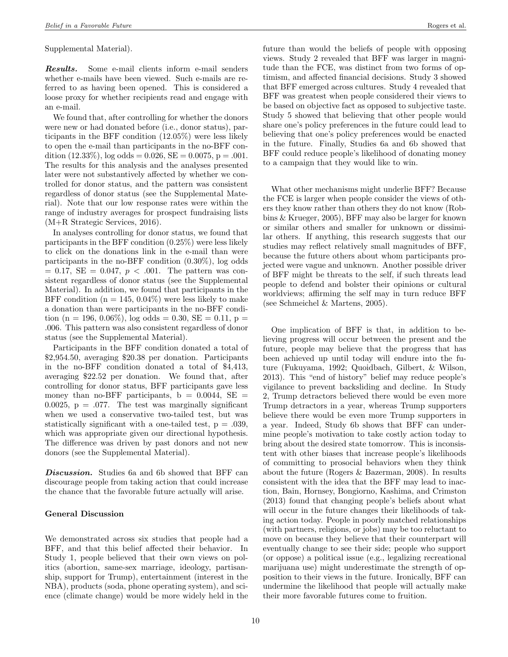Supplemental Material).

Results. Some e-mail clients inform e-mail senders whether e-mails have been viewed. Such e-mails are referred to as having been opened. This is considered a loose proxy for whether recipients read and engage with an e-mail.

We found that, after controlling for whether the donors were new or had donated before (i.e., donor status), participants in the BFF condition (12.05%) were less likely to open the e-mail than participants in the no-BFF condition  $(12.33\%)$ , log odds = 0.026, SE = 0.0075, p = .001. The results for this analysis and the analyses presented later were not substantively affected by whether we controlled for donor status, and the pattern was consistent regardless of donor status (see the Supplemental Material). Note that our low response rates were within the range of industry averages for prospect fundraising lists (M+R Strategic Services, 2016).

In analyses controlling for donor status, we found that participants in the BFF condition (0.25%) were less likely to click on the donations link in the e-mail than were participants in the no-BFF condition (0.30%), log odds  $= 0.17, SE = 0.047, p < .001$ . The pattern was consistent regardless of donor status (see the Supplemental Material). In addition, we found that participants in the BFF condition ( $n = 145, 0.04\%$ ) were less likely to make a donation than were participants in the no-BFF condition (n = 196, 0.06%), log odds = 0.30, SE = 0.11, p = .006. This pattern was also consistent regardless of donor status (see the Supplemental Material).

Participants in the BFF condition donated a total of \$2,954.50, averaging \$20.38 per donation. Participants in the no-BFF condition donated a total of \$4,413, averaging \$22.52 per donation. We found that, after controlling for donor status, BFF participants gave less money than no-BFF participants,  $b = 0.0044$ , SE = 0.0025,  $p = 0.077$ . The test was marginally significant when we used a conservative two-tailed test, but was statistically significant with a one-tailed test,  $p = .039$ , which was appropriate given our directional hypothesis. The difference was driven by past donors and not new donors (see the Supplemental Material).

Discussion. Studies 6a and 6b showed that BFF can discourage people from taking action that could increase the chance that the favorable future actually will arise.

### General Discussion

We demonstrated across six studies that people had a BFF, and that this belief affected their behavior. In Study 1, people believed that their own views on politics (abortion, same-sex marriage, ideology, partisanship, support for Trump), entertainment (interest in the NBA), products (soda, phone operating system), and science (climate change) would be more widely held in the

future than would the beliefs of people with opposing views. Study 2 revealed that BFF was larger in magnitude than the FCE, was distinct from two forms of optimism, and affected financial decisions. Study 3 showed that BFF emerged across cultures. Study 4 revealed that BFF was greatest when people considered their views to be based on objective fact as opposed to subjective taste. Study 5 showed that believing that other people would share one's policy preferences in the future could lead to believing that one's policy preferences would be enacted in the future. Finally, Studies 6a and 6b showed that BFF could reduce people's likelihood of donating money to a campaign that they would like to win.

What other mechanisms might underlie BFF? Because the FCE is larger when people consider the views of others they know rather than others they do not know (Robbins & Krueger, 2005), BFF may also be larger for known or similar others and smaller for unknown or dissimilar others. If anything, this research suggests that our studies may reflect relatively small magnitudes of BFF, because the future others about whom participants projected were vague and unknown. Another possible driver of BFF might be threats to the self, if such threats lead people to defend and bolster their opinions or cultural worldviews; affirming the self may in turn reduce BFF (see Schmeichel & Martens, 2005).

One implication of BFF is that, in addition to believing progress will occur between the present and the future, people may believe that the progress that has been achieved up until today will endure into the future (Fukuyama, 1992; Quoidbach, Gilbert, & Wilson, 2013). This "end of history" belief may reduce people's vigilance to prevent backsliding and decline. In Study 2, Trump detractors believed there would be even more Trump detractors in a year, whereas Trump supporters believe there would be even more Trump supporters in a year. Indeed, Study 6b shows that BFF can undermine people's motivation to take costly action today to bring about the desired state tomorrow. This is inconsistent with other biases that increase people's likelihoods of committing to prosocial behaviors when they think about the future (Rogers & Bazerman, 2008). In results consistent with the idea that the BFF may lead to inaction, Bain, Hornsey, Bongiorno, Kashima, and Crimston (2013) found that changing people's beliefs about what will occur in the future changes their likelihoods of taking action today. People in poorly matched relationships (with partners, religions, or jobs) may be too reluctant to move on because they believe that their counterpart will eventually change to see their side; people who support (or oppose) a political issue (e.g., legalizing recreational marijuana use) might underestimate the strength of opposition to their views in the future. Ironically, BFF can undermine the likelihood that people will actually make their more favorable futures come to fruition.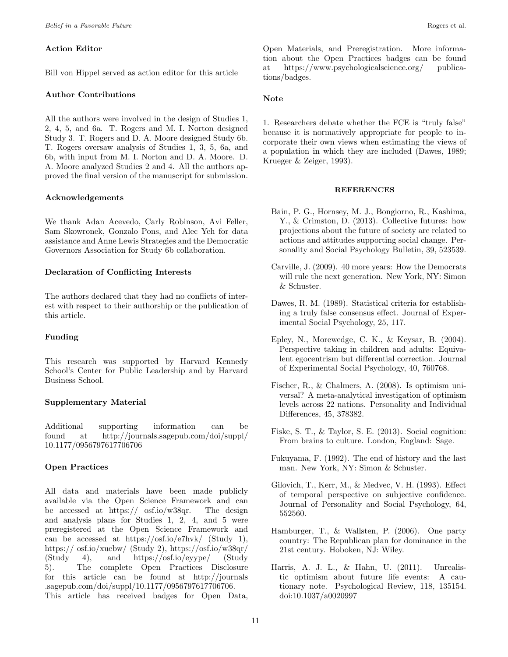# Action Editor

Bill von Hippel served as action editor for this article

## Author Contributions

All the authors were involved in the design of Studies 1, 2, 4, 5, and 6a. T. Rogers and M. I. Norton designed Study 3. T. Rogers and D. A. Moore designed Study 6b. T. Rogers oversaw analysis of Studies 1, 3, 5, 6a, and 6b, with input from M. I. Norton and D. A. Moore. D. A. Moore analyzed Studies 2 and 4. All the authors approved the final version of the manuscript for submission.

## Acknowledgements

We thank Adan Acevedo, Carly Robinson, Avi Feller, Sam Skowronek, Gonzalo Pons, and Alec Yeh for data assistance and Anne Lewis Strategies and the Democratic Governors Association for Study 6b collaboration.

# Declaration of Conflicting Interests

The authors declared that they had no conflicts of interest with respect to their authorship or the publication of this article.

# Funding

This research was supported by Harvard Kennedy School's Center for Public Leadership and by Harvard Business School.

# Supplementary Material

Additional supporting information can be found at http://journals.sagepub.com/doi/suppl/ 10.1177/0956797617706706

# Open Practices

All data and materials have been made publicly available via the Open Science Framework and can be accessed at https:// osf.io/w38qr. The design and analysis plans for Studies 1, 2, 4, and 5 were preregistered at the Open Science Framework and can be accessed at https://osf.io/e7hvk/ (Study 1), https:// osf.io/xuebw/ (Study 2), https://osf.io/w38qr/ (Study 4), and https://osf.io/eyype/ (Study 5). The complete Open Practices Disclosure for this article can be found at http://journals .sagepub.com/doi/suppl/10.1177/0956797617706706. This article has received badges for Open Data,

Open Materials, and Preregistration. More information about the Open Practices badges can be found at https://www.psychologicalscience.org/ publications/badges.

## Note

1. Researchers debate whether the FCE is "truly false" because it is normatively appropriate for people to incorporate their own views when estimating the views of a population in which they are included (Dawes, 1989; Krueger & Zeiger, 1993).

### **REFERENCES**

- Bain, P. G., Hornsey, M. J., Bongiorno, R., Kashima, Y., & Crimston, D. (2013). Collective futures: how projections about the future of society are related to actions and attitudes supporting social change. Personality and Social Psychology Bulletin, 39, 523539.
- Carville, J. (2009). 40 more years: How the Democrats will rule the next generation. New York, NY: Simon & Schuster.
- Dawes, R. M. (1989). Statistical criteria for establishing a truly false consensus effect. Journal of Experimental Social Psychology, 25, 117.
- Epley, N., Morewedge, C. K., & Keysar, B. (2004). Perspective taking in children and adults: Equivalent egocentrism but differential correction. Journal of Experimental Social Psychology, 40, 760768.
- Fischer, R., & Chalmers, A. (2008). Is optimism universal? A meta-analytical investigation of optimism levels across 22 nations. Personality and Individual Differences, 45, 378382.
- Fiske, S. T., & Taylor, S. E. (2013). Social cognition: From brains to culture. London, England: Sage.
- Fukuyama, F. (1992). The end of history and the last man. New York, NY: Simon & Schuster.
- Gilovich, T., Kerr, M., & Medvec, V. H. (1993). Effect of temporal perspective on subjective confidence. Journal of Personality and Social Psychology, 64, 552560.
- Hamburger, T., & Wallsten, P. (2006). One party country: The Republican plan for dominance in the 21st century. Hoboken, NJ: Wiley.
- Harris, A. J. L., & Hahn, U. (2011). Unrealistic optimism about future life events: A cautionary note. Psychological Review, 118, 135154. doi:10.1037/a0020997